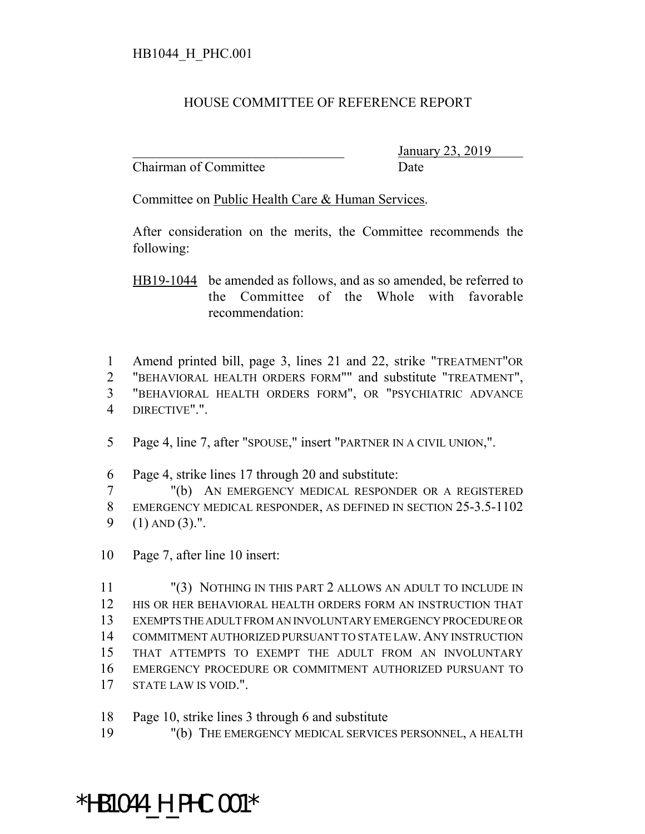## HOUSE COMMITTEE OF REFERENCE REPORT

Chairman of Committee Date

\_\_\_\_\_\_\_\_\_\_\_\_\_\_\_\_\_\_\_\_\_\_\_\_\_\_\_\_\_\_\_ January 23, 2019

Committee on Public Health Care & Human Services.

After consideration on the merits, the Committee recommends the following:

HB19-1044 be amended as follows, and as so amended, be referred to the Committee of the Whole with favorable recommendation:

 Amend printed bill, page 3, lines 21 and 22, strike "TREATMENT"OR "BEHAVIORAL HEALTH ORDERS FORM"" and substitute "TREATMENT", "BEHAVIORAL HEALTH ORDERS FORM", OR "PSYCHIATRIC ADVANCE DIRECTIVE".".

Page 4, line 7, after "SPOUSE," insert "PARTNER IN A CIVIL UNION,".

Page 4, strike lines 17 through 20 and substitute:

 "(b) AN EMERGENCY MEDICAL RESPONDER OR A REGISTERED EMERGENCY MEDICAL RESPONDER, AS DEFINED IN SECTION 25-3.5-1102 (1) AND (3).".

Page 7, after line 10 insert:

 "(3) NOTHING IN THIS PART 2 ALLOWS AN ADULT TO INCLUDE IN HIS OR HER BEHAVIORAL HEALTH ORDERS FORM AN INSTRUCTION THAT EXEMPTS THE ADULT FROM AN INVOLUNTARY EMERGENCY PROCEDURE OR COMMITMENT AUTHORIZED PURSUANT TO STATE LAW. ANY INSTRUCTION THAT ATTEMPTS TO EXEMPT THE ADULT FROM AN INVOLUNTARY EMERGENCY PROCEDURE OR COMMITMENT AUTHORIZED PURSUANT TO STATE LAW IS VOID.".

Page 10, strike lines 3 through 6 and substitute

"(b) THE EMERGENCY MEDICAL SERVICES PERSONNEL, A HEALTH

\*HB1044\_H\_PHC.001\*